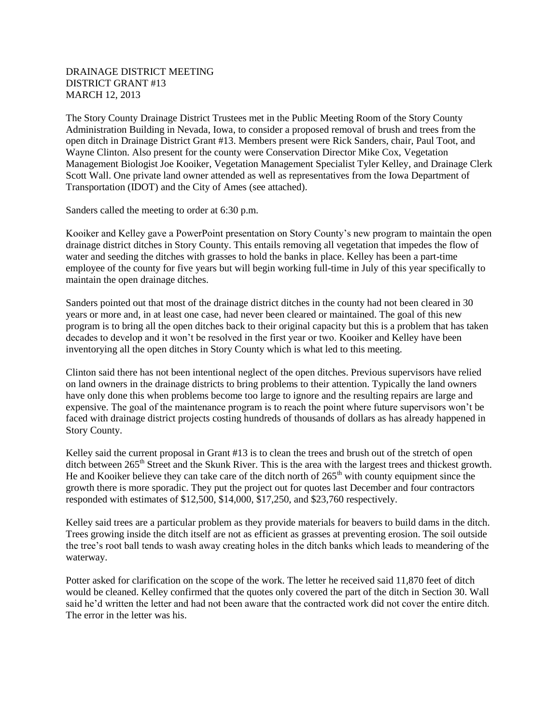## DRAINAGE DISTRICT MEETING DISTRICT GRANT #13 MARCH 12, 2013

The Story County Drainage District Trustees met in the Public Meeting Room of the Story County Administration Building in Nevada, Iowa, to consider a proposed removal of brush and trees from the open ditch in Drainage District Grant #13. Members present were Rick Sanders, chair, Paul Toot, and Wayne Clinton. Also present for the county were Conservation Director Mike Cox, Vegetation Management Biologist Joe Kooiker, Vegetation Management Specialist Tyler Kelley, and Drainage Clerk Scott Wall. One private land owner attended as well as representatives from the Iowa Department of Transportation (IDOT) and the City of Ames (see attached).

Sanders called the meeting to order at 6:30 p.m.

Kooiker and Kelley gave a PowerPoint presentation on Story County's new program to maintain the open drainage district ditches in Story County. This entails removing all vegetation that impedes the flow of water and seeding the ditches with grasses to hold the banks in place. Kelley has been a part-time employee of the county for five years but will begin working full-time in July of this year specifically to maintain the open drainage ditches.

Sanders pointed out that most of the drainage district ditches in the county had not been cleared in 30 years or more and, in at least one case, had never been cleared or maintained. The goal of this new program is to bring all the open ditches back to their original capacity but this is a problem that has taken decades to develop and it won't be resolved in the first year or two. Kooiker and Kelley have been inventorying all the open ditches in Story County which is what led to this meeting.

Clinton said there has not been intentional neglect of the open ditches. Previous supervisors have relied on land owners in the drainage districts to bring problems to their attention. Typically the land owners have only done this when problems become too large to ignore and the resulting repairs are large and expensive. The goal of the maintenance program is to reach the point where future supervisors won't be faced with drainage district projects costing hundreds of thousands of dollars as has already happened in Story County.

Kelley said the current proposal in Grant #13 is to clean the trees and brush out of the stretch of open ditch between 265<sup>th</sup> Street and the Skunk River. This is the area with the largest trees and thickest growth. He and Kooiker believe they can take care of the ditch north of  $265<sup>th</sup>$  with county equipment since the growth there is more sporadic. They put the project out for quotes last December and four contractors responded with estimates of \$12,500, \$14,000, \$17,250, and \$23,760 respectively.

Kelley said trees are a particular problem as they provide materials for beavers to build dams in the ditch. Trees growing inside the ditch itself are not as efficient as grasses at preventing erosion. The soil outside the tree's root ball tends to wash away creating holes in the ditch banks which leads to meandering of the waterway.

Potter asked for clarification on the scope of the work. The letter he received said 11,870 feet of ditch would be cleaned. Kelley confirmed that the quotes only covered the part of the ditch in Section 30. Wall said he'd written the letter and had not been aware that the contracted work did not cover the entire ditch. The error in the letter was his.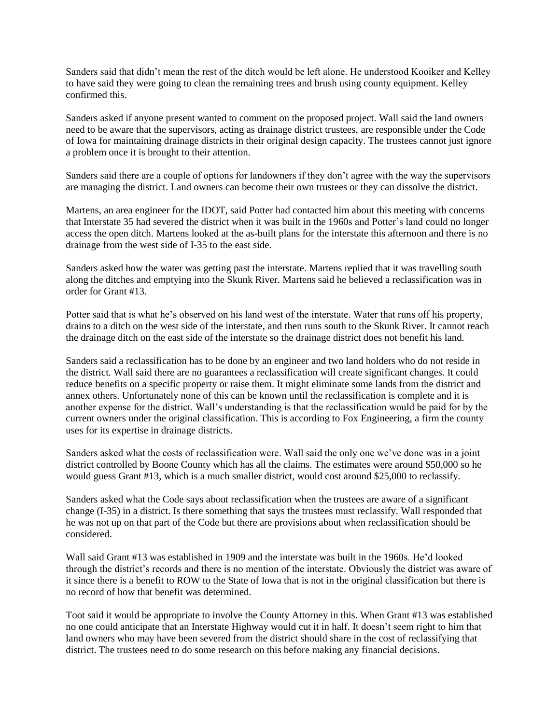Sanders said that didn't mean the rest of the ditch would be left alone. He understood Kooiker and Kelley to have said they were going to clean the remaining trees and brush using county equipment. Kelley confirmed this.

Sanders asked if anyone present wanted to comment on the proposed project. Wall said the land owners need to be aware that the supervisors, acting as drainage district trustees, are responsible under the Code of Iowa for maintaining drainage districts in their original design capacity. The trustees cannot just ignore a problem once it is brought to their attention.

Sanders said there are a couple of options for landowners if they don't agree with the way the supervisors are managing the district. Land owners can become their own trustees or they can dissolve the district.

Martens, an area engineer for the IDOT, said Potter had contacted him about this meeting with concerns that Interstate 35 had severed the district when it was built in the 1960s and Potter's land could no longer access the open ditch. Martens looked at the as-built plans for the interstate this afternoon and there is no drainage from the west side of I-35 to the east side.

Sanders asked how the water was getting past the interstate. Martens replied that it was travelling south along the ditches and emptying into the Skunk River. Martens said he believed a reclassification was in order for Grant #13.

Potter said that is what he's observed on his land west of the interstate. Water that runs off his property, drains to a ditch on the west side of the interstate, and then runs south to the Skunk River. It cannot reach the drainage ditch on the east side of the interstate so the drainage district does not benefit his land.

Sanders said a reclassification has to be done by an engineer and two land holders who do not reside in the district. Wall said there are no guarantees a reclassification will create significant changes. It could reduce benefits on a specific property or raise them. It might eliminate some lands from the district and annex others. Unfortunately none of this can be known until the reclassification is complete and it is another expense for the district. Wall's understanding is that the reclassification would be paid for by the current owners under the original classification. This is according to Fox Engineering, a firm the county uses for its expertise in drainage districts.

Sanders asked what the costs of reclassification were. Wall said the only one we've done was in a joint district controlled by Boone County which has all the claims. The estimates were around \$50,000 so he would guess Grant #13, which is a much smaller district, would cost around \$25,000 to reclassify.

Sanders asked what the Code says about reclassification when the trustees are aware of a significant change (I-35) in a district. Is there something that says the trustees must reclassify. Wall responded that he was not up on that part of the Code but there are provisions about when reclassification should be considered.

Wall said Grant #13 was established in 1909 and the interstate was built in the 1960s. He'd looked through the district's records and there is no mention of the interstate. Obviously the district was aware of it since there is a benefit to ROW to the State of Iowa that is not in the original classification but there is no record of how that benefit was determined.

Toot said it would be appropriate to involve the County Attorney in this. When Grant #13 was established no one could anticipate that an Interstate Highway would cut it in half. It doesn't seem right to him that land owners who may have been severed from the district should share in the cost of reclassifying that district. The trustees need to do some research on this before making any financial decisions.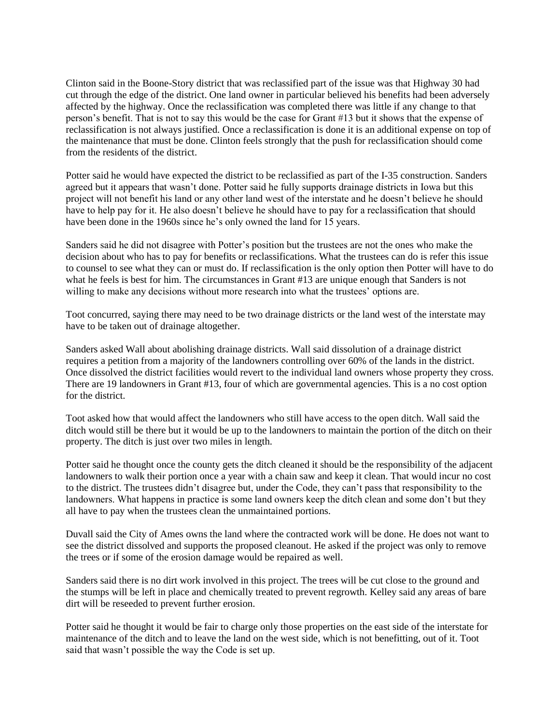Clinton said in the Boone-Story district that was reclassified part of the issue was that Highway 30 had cut through the edge of the district. One land owner in particular believed his benefits had been adversely affected by the highway. Once the reclassification was completed there was little if any change to that person's benefit. That is not to say this would be the case for Grant #13 but it shows that the expense of reclassification is not always justified. Once a reclassification is done it is an additional expense on top of the maintenance that must be done. Clinton feels strongly that the push for reclassification should come from the residents of the district.

Potter said he would have expected the district to be reclassified as part of the I-35 construction. Sanders agreed but it appears that wasn't done. Potter said he fully supports drainage districts in Iowa but this project will not benefit his land or any other land west of the interstate and he doesn't believe he should have to help pay for it. He also doesn't believe he should have to pay for a reclassification that should have been done in the 1960s since he's only owned the land for 15 years.

Sanders said he did not disagree with Potter's position but the trustees are not the ones who make the decision about who has to pay for benefits or reclassifications. What the trustees can do is refer this issue to counsel to see what they can or must do. If reclassification is the only option then Potter will have to do what he feels is best for him. The circumstances in Grant #13 are unique enough that Sanders is not willing to make any decisions without more research into what the trustees' options are.

Toot concurred, saying there may need to be two drainage districts or the land west of the interstate may have to be taken out of drainage altogether.

Sanders asked Wall about abolishing drainage districts. Wall said dissolution of a drainage district requires a petition from a majority of the landowners controlling over 60% of the lands in the district. Once dissolved the district facilities would revert to the individual land owners whose property they cross. There are 19 landowners in Grant #13, four of which are governmental agencies. This is a no cost option for the district.

Toot asked how that would affect the landowners who still have access to the open ditch. Wall said the ditch would still be there but it would be up to the landowners to maintain the portion of the ditch on their property. The ditch is just over two miles in length.

Potter said he thought once the county gets the ditch cleaned it should be the responsibility of the adjacent landowners to walk their portion once a year with a chain saw and keep it clean. That would incur no cost to the district. The trustees didn't disagree but, under the Code, they can't pass that responsibility to the landowners. What happens in practice is some land owners keep the ditch clean and some don't but they all have to pay when the trustees clean the unmaintained portions.

Duvall said the City of Ames owns the land where the contracted work will be done. He does not want to see the district dissolved and supports the proposed cleanout. He asked if the project was only to remove the trees or if some of the erosion damage would be repaired as well.

Sanders said there is no dirt work involved in this project. The trees will be cut close to the ground and the stumps will be left in place and chemically treated to prevent regrowth. Kelley said any areas of bare dirt will be reseeded to prevent further erosion.

Potter said he thought it would be fair to charge only those properties on the east side of the interstate for maintenance of the ditch and to leave the land on the west side, which is not benefitting, out of it. Toot said that wasn't possible the way the Code is set up.